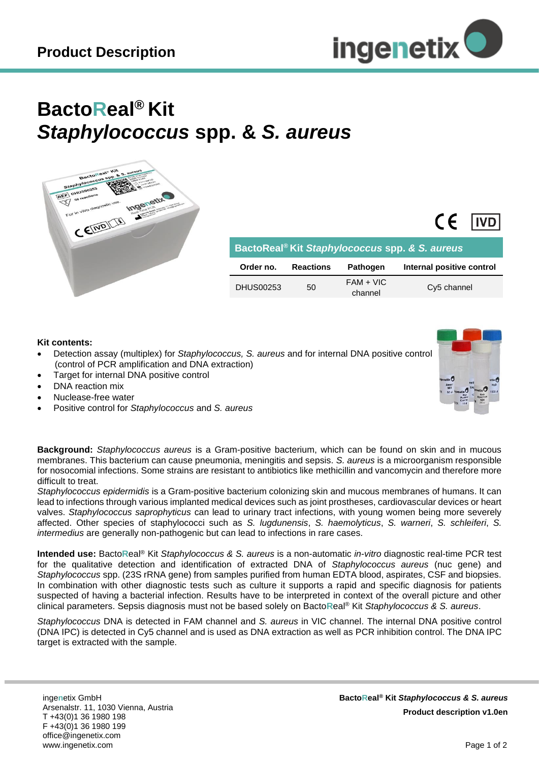

## **BactoReal® Kit** *Staphylococcus* **spp. &** *S. aureus*



| BactoReal <sup>®</sup> Kit Staphylococcus spp. & S. aureus |                  |                        |                           |  |  |  |  |  |  |  |  |
|------------------------------------------------------------|------------------|------------------------|---------------------------|--|--|--|--|--|--|--|--|
| Order no.                                                  | <b>Reactions</b> | <b>Pathogen</b>        | Internal positive control |  |  |  |  |  |  |  |  |
| <b>DHUS00253</b>                                           | 50               | $FAM + VIC$<br>channel | Cy5 channel               |  |  |  |  |  |  |  |  |

## **Kit contents:**

- Detection assay (multiplex) for *Staphylococcus, S. aureus* and for internal DNA positive control (control of PCR amplification and DNA extraction)
- Target for internal DNA positive control
- DNA reaction mix
- Nuclease-free water
- Positive control for *Staphylococcus* and *S. aureus*

**Background:** *Staphylococcus aureus* is a Gram-positive bacterium, which can be found on skin and in mucous membranes. This bacterium can cause pneumonia, meningitis and sepsis. *S. aureus* is a microorganism responsible for nosocomial infections. Some strains are resistant to antibiotics like methicillin and vancomycin and therefore more difficult to treat.

*Staphylococcus epidermidis* is a Gram-positive bacterium colonizing skin and mucous membranes of humans. It can lead to infections through various implanted medical devices such as joint prostheses, cardiovascular devices or heart valves. *Staphylococcus saprophyticus* can lead to urinary tract infections, with young women being more severely affected. Other species of staphylococci such as *S. lugdunensis*, *S. haemolyticus*, *S. warneri*, *S. schleiferi*, *S. intermedius* are generally non-pathogenic but can lead to infections in rare cases.

**Intended use:** Bacto**R**eal® Kit *Staphylococcus & S. aureus* is a non-automatic *in-vitro* diagnostic real-time PCR test for the qualitative detection and identification of extracted DNA of *Staphylococcus aureus* (nuc gene) and *Staphylococcus* spp. (23S rRNA gene) from samples purified from human EDTA blood, aspirates, CSF and biopsies. In combination with other diagnostic tests such as culture it supports a rapid and specific diagnosis for patients suspected of having a bacterial infection. Results have to be interpreted in context of the overall picture and other clinical parameters. Sepsis diagnosis must not be based solely on Bacto**R**eal® Kit *Staphylococcus & S. aureus*.

*Staphylococcus* DNA is detected in FAM channel and *S. aureus* in VIC channel. The internal DNA positive control (DNA IPC) is detected in Cy5 channel and is used as DNA extraction as well as PCR inhibition control. The DNA IPC target is extracted with the sample.

inge**n**etix GmbH Arsenalstr. 11, 1030 Vienna, Austria T +43(0)1 36 1980 198 F +43(0)1 36 1980 199 office@ingenetix.com www.ingenetix.com

 $\epsilon$ 

**IVD**